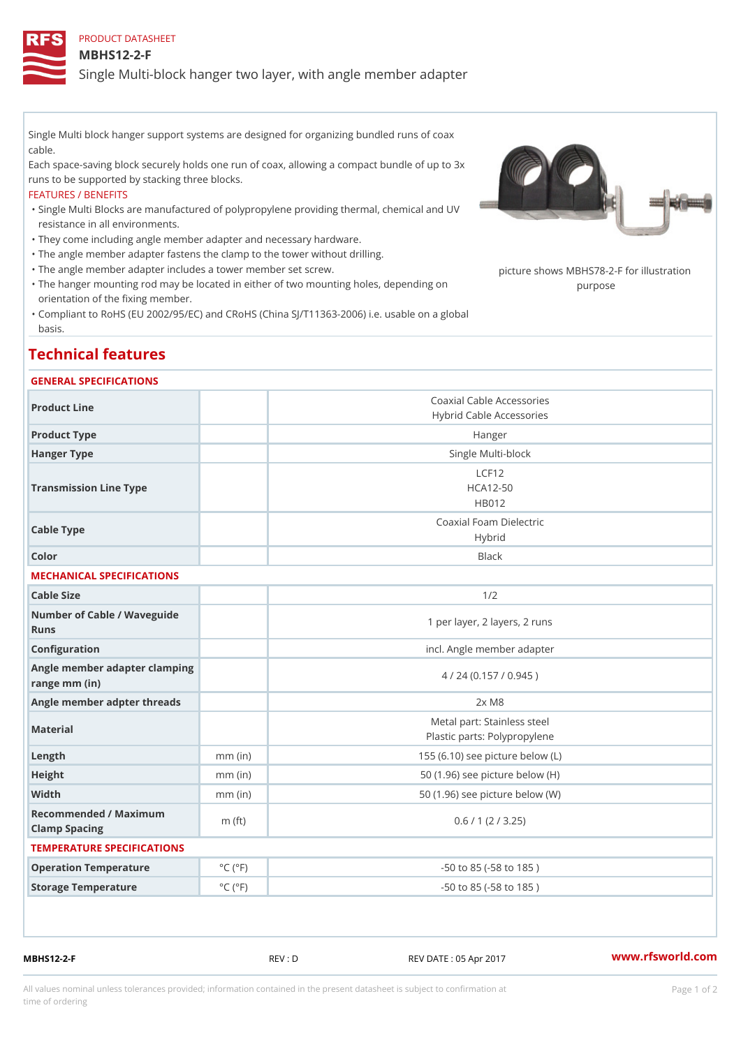PRODUCT DATASHEET

MBHS12-2-F

Single Multi-block hanger two layer, with angle member adapter

Single Multi block hanger support systems are designed for organizing bundled runs of coax cable.

Each space-saving block securely holds one run of coax, allowing a compact bundle of up to 3x runs to be supported by stacking three blocks.

## FEATURES / BENEFITS

Single Multi Blocks are manufactured of polypropylene providing thermal, chemical and UV " resistance in all environments.

"They come including angle member adapter and necessary hardware.

- "The angle member adapter fastens the clamp to the tower without drilling.
- "The angle member adapter includes a tower member set screw. picture shows MBHS78-2-F for illu
- "The hanger mounting rod may be located in either of two mounting holes, dep<sub>le</sub>npobigag on orientation of the fixing member.
- Compliant to RoHS (EU 2002/95/EC) and CRoHS (China SJ/T11363-2006) i.e. usable on a global " basis.

## Technical features

## GENERAL SPECIFICATIONS

| Product Line                                   |                             | Coaxial Cable Accessories<br>Hybrid Cable Accessories       |  |
|------------------------------------------------|-----------------------------|-------------------------------------------------------------|--|
| Product Type                                   |                             | Hanger                                                      |  |
| Hanger Type                                    |                             | Single Multi-block                                          |  |
| Transmission Line Type                         |                             | LCF12<br>$HCA12-50$<br>HB012                                |  |
| Cable Type                                     |                             | Coaxial Foam Dielectric<br>Hybrid                           |  |
| Color                                          |                             | <b>Black</b>                                                |  |
| MECHANICAL SPECIFICATIONS                      |                             |                                                             |  |
| Cable Size                                     |                             | 1/2                                                         |  |
| Number of Cable / Waveguide<br>Runs            |                             | 1 per layer, 2 layers, 2 runs                               |  |
| Configuration                                  |                             | incl. Angle member adapter                                  |  |
| Angle member adapter clamping<br>range mm (in) |                             | 4 / 24 (0.157 / 0.945)                                      |  |
| Angle member adpter threads                    |                             | $2x$ M $8$                                                  |  |
| Material                                       |                             | Metal part: Stainless steel<br>Plastic parts: Polypropylene |  |
| Length                                         | $mm$ (in)                   | 155 (6.10) see picture below (L)                            |  |
| Height                                         | $mm$ (in)                   | 50 (1.96) see picture below (H)                             |  |
| Width                                          | $mm$ (in)                   | 50 (1.96) see picture below (W)                             |  |
| Recommended / Maximum<br>Clamp Spacing         | m $(ft)$                    | 0.6 / 1 (2 / 3.25)                                          |  |
| TEMPERATURE SPECIFICATIONS                     |                             |                                                             |  |
| Operation Temperature                          | $^{\circ}$ C ( $^{\circ}$ F | $-50$ to $85$ ( $-58$ to $185$ )                            |  |
| Storage Temperature                            | $^{\circ}$ C ( $^{\circ}$ F | $-50$ to $85$ ( $-58$ to $185$ )                            |  |
|                                                |                             |                                                             |  |

MBHS12-2-F REV : D REV DATE : 05 Apr 2017 [www.](https://www.rfsworld.com)rfsworld.com